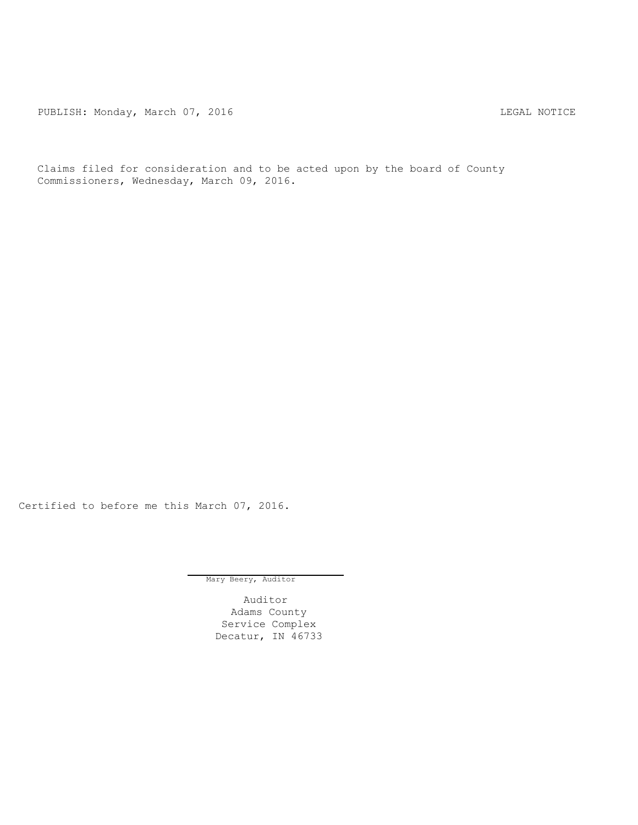PUBLISH: Monday, March 07, 2016 CHA CHANGE CONTROLLING MOTICE

Claims filed for consideration and to be acted upon by the board of County Commissioners, Wednesday, March 09, 2016.

Certified to before me this March 07, 2016.

Mary Beery, Auditor

Auditor Adams County Service Complex Decatur, IN 46733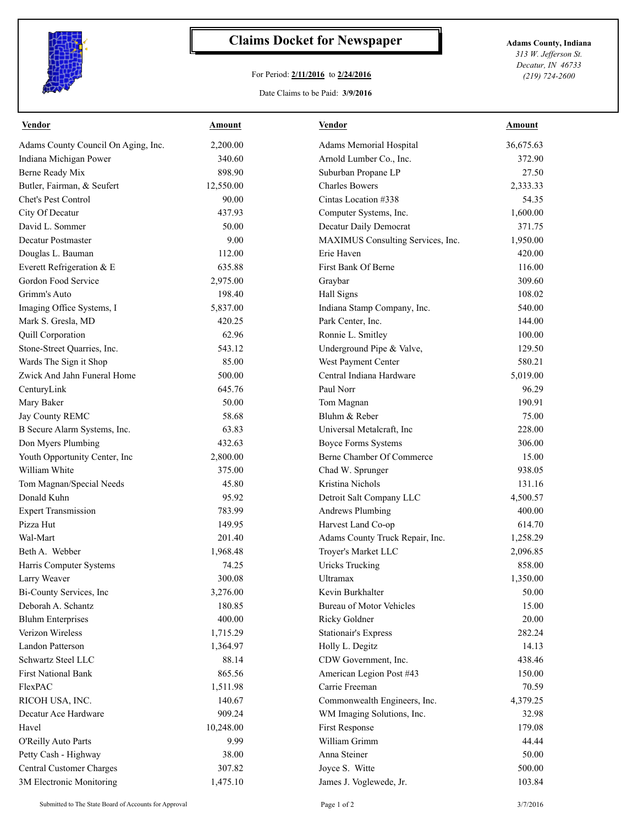

## **Claims Docket for Newspaper Adams County, Indiana**

## For Period: **2/11/2016** to **2/24/2016**

*313 W. Jefferson St. Decatur, IN 46733 (219) 724-2600*

## Date Claims to be Paid: **3/9/2016**

| <b>Vendor</b>                       | <u>Amount</u> | <b>Vendor</b>                     | <b>Amount</b> |
|-------------------------------------|---------------|-----------------------------------|---------------|
| Adams County Council On Aging, Inc. | 2,200.00      | Adams Memorial Hospital           | 36,675.63     |
| Indiana Michigan Power              | 340.60        | Arnold Lumber Co., Inc.           | 372.90        |
| Berne Ready Mix                     | 898.90        | Suburban Propane LP               | 27.50         |
| Butler, Fairman, & Seufert          | 12,550.00     | <b>Charles Bowers</b>             | 2,333.33      |
| Chet's Pest Control                 | 90.00         | Cintas Location #338              | 54.35         |
| City Of Decatur                     | 437.93        | Computer Systems, Inc.            | 1,600.00      |
| David L. Sommer                     | 50.00         | Decatur Daily Democrat            | 371.75        |
| Decatur Postmaster                  | 9.00          | MAXIMUS Consulting Services, Inc. | 1,950.00      |
| Douglas L. Bauman                   | 112.00        | Erie Haven                        | 420.00        |
| Everett Refrigeration & E           | 635.88        | First Bank Of Berne               | 116.00        |
| Gordon Food Service                 | 2,975.00      | Graybar                           | 309.60        |
| Grimm's Auto                        | 198.40        | Hall Signs                        | 108.02        |
| Imaging Office Systems, I           | 5,837.00      | Indiana Stamp Company, Inc.       | 540.00        |
| Mark S. Gresla, MD                  | 420.25        | Park Center, Inc.                 | 144.00        |
| Quill Corporation                   | 62.96         | Ronnie L. Smitley                 | 100.00        |
| Stone-Street Quarries, Inc.         | 543.12        | Underground Pipe & Valve,         | 129.50        |
| Wards The Sign it Shop              | 85.00         | West Payment Center               | 580.21        |
| Zwick And Jahn Funeral Home         | 500.00        | Central Indiana Hardware          | 5,019.00      |
| CenturyLink                         | 645.76        | Paul Norr                         | 96.29         |
| Mary Baker                          | 50.00         | Tom Magnan                        | 190.91        |
| Jay County REMC                     | 58.68         | Bluhm & Reber                     | 75.00         |
| B Secure Alarm Systems, Inc.        | 63.83         | Universal Metalcraft, Inc         | 228.00        |
| Don Myers Plumbing                  | 432.63        | <b>Boyce Forms Systems</b>        | 306.00        |
| Youth Opportunity Center, Inc       | 2,800.00      | Berne Chamber Of Commerce         | 15.00         |
| William White                       | 375.00        | Chad W. Sprunger                  | 938.05        |
| Tom Magnan/Special Needs            | 45.80         | Kristina Nichols                  | 131.16        |
| Donald Kuhn                         | 95.92         | Detroit Salt Company LLC          | 4,500.57      |
| <b>Expert Transmission</b>          | 783.99        | <b>Andrews Plumbing</b>           | 400.00        |
| Pizza Hut                           | 149.95        | Harvest Land Co-op                | 614.70        |
| Wal-Mart                            | 201.40        | Adams County Truck Repair, Inc.   | 1,258.29      |
| Beth A. Webber                      | 1,968.48      | Troyer's Market LLC               | 2,096.85      |
| Harris Computer Systems             | 74.25         | <b>Uricks Trucking</b>            | 858.00        |
| Larry Weaver                        | 300.08        | Ultramax                          | 1,350.00      |
| Bi-County Services, Inc             | 3,276.00      | Kevin Burkhalter                  | 50.00         |
| Deborah A. Schantz                  | 180.85        | <b>Bureau of Motor Vehicles</b>   | 15.00         |
| <b>Bluhm Enterprises</b>            | 400.00        | Ricky Goldner                     | 20.00         |
| Verizon Wireless                    | 1,715.29      | <b>Stationair's Express</b>       | 282.24        |
| Landon Patterson                    | 1,364.97      | Holly L. Degitz                   | 14.13         |
| Schwartz Steel LLC                  | 88.14         | CDW Government, Inc.              | 438.46        |
| <b>First National Bank</b>          | 865.56        | American Legion Post #43          | 150.00        |
| FlexPAC                             | 1,511.98      | Carrie Freeman                    | 70.59         |
| RICOH USA, INC.                     | 140.67        | Commonwealth Engineers, Inc.      | 4,379.25      |
| Decatur Ace Hardware                | 909.24        | WM Imaging Solutions, Inc.        | 32.98         |
| Havel                               | 10,248.00     | First Response                    | 179.08        |
|                                     | 9.99          | William Grimm                     |               |
| O'Reilly Auto Parts                 |               | Anna Steiner                      | 44.44         |
| Petty Cash - Highway                | 38.00         |                                   | 50.00         |
| <b>Central Customer Charges</b>     | 307.82        | Joyce S. Witte                    | 500.00        |
| 3M Electronic Monitoring            | 1,475.10      | James J. Voglewede, Jr.           | 103.84        |